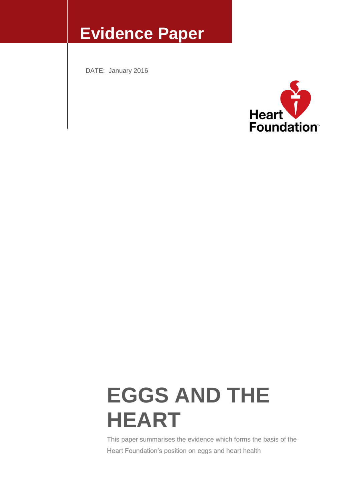# **Evidence Paper**

DATE: January 2016



# **EGGS AND THE HEART**

This paper summarises the evidence which forms the basis of the Heart Foundation's position on eggs and heart health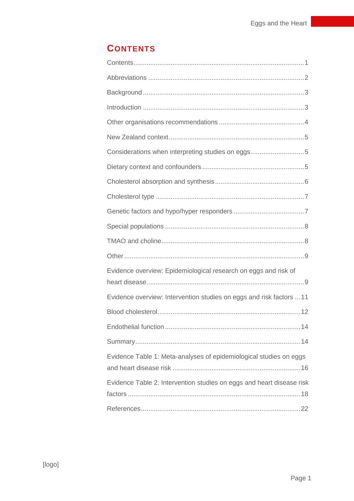# **CONTENTS**

| Considerations when interpreting studies on eggs5                     |
|-----------------------------------------------------------------------|
|                                                                       |
|                                                                       |
|                                                                       |
|                                                                       |
|                                                                       |
|                                                                       |
|                                                                       |
| Evidence overview: Epidemiological research on eggs and risk of       |
| Evidence overview: Intervention studies on eggs and risk factors  11  |
|                                                                       |
|                                                                       |
|                                                                       |
| Evidence Table 1: Meta-analyses of epidemiological studies on eggs    |
| Evidence Table 2: Intervention studies on eggs and heart disease risk |
|                                                                       |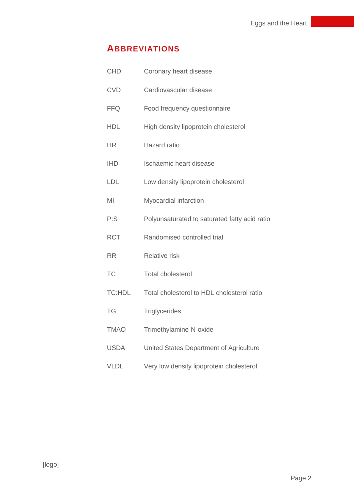## **ABBREVIATIONS**

| <b>CHD</b>    | Coronary heart disease                        |
|---------------|-----------------------------------------------|
| <b>CVD</b>    | Cardiovascular disease                        |
| <b>FFQ</b>    | Food frequency questionnaire                  |
| <b>HDL</b>    | High density lipoprotein cholesterol          |
| <b>HR</b>     | Hazard ratio                                  |
| <b>IHD</b>    | Ischaemic heart disease                       |
| <b>LDL</b>    | Low density lipoprotein cholesterol           |
| MI            | Myocardial infarction                         |
| P:S           | Polyunsaturated to saturated fatty acid ratio |
| <b>RCT</b>    | Randomised controlled trial                   |
| <b>RR</b>     | <b>Relative risk</b>                          |
| <b>TC</b>     | <b>Total cholesterol</b>                      |
| <b>TC:HDL</b> | Total cholesterol to HDL cholesterol ratio    |
| TG            | <b>Triglycerides</b>                          |
| <b>TMAO</b>   | Trimethylamine-N-oxide                        |
| <b>USDA</b>   | United States Department of Agriculture       |
| <b>VLDL</b>   | Very low density lipoprotein cholesterol      |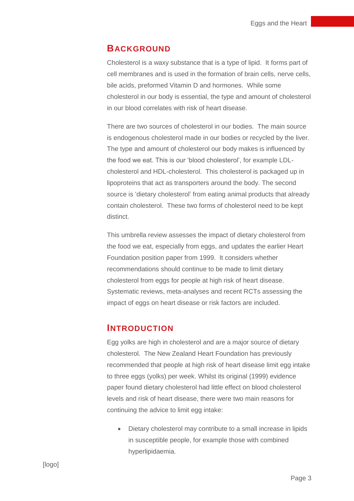#### **BACKGROUND**

Cholesterol is a waxy substance that is a type of lipid. It forms part of cell membranes and is used in the formation of brain cells, nerve cells, bile acids, preformed Vitamin D and hormones. While some cholesterol in our body is essential, the type and amount of cholesterol in our blood correlates with risk of heart disease.

There are two sources of cholesterol in our bodies. The main source is endogenous cholesterol made in our bodies or recycled by the liver. The type and amount of cholesterol our body makes is influenced by the food we eat. This is our 'blood cholesterol', for example LDLcholesterol and HDL-cholesterol. This cholesterol is packaged up in lipoproteins that act as transporters around the body. The second source is 'dietary cholesterol' from eating animal products that already contain cholesterol. These two forms of cholesterol need to be kept distinct.

This umbrella review assesses the impact of dietary cholesterol from the food we eat, especially from eggs, and updates the earlier Heart Foundation position paper from 1999. It considers whether recommendations should continue to be made to limit dietary cholesterol from eggs for people at high risk of heart disease. Systematic reviews, meta-analyses and recent RCTs assessing the impact of eggs on heart disease or risk factors are included.

#### **INTRODUCTION**

Egg yolks are high in cholesterol and are a major source of dietary cholesterol. The New Zealand Heart Foundation has previously recommended that people at high risk of heart disease limit egg intake to three eggs (yolks) per week. Whilst its original (1999) evidence paper found dietary cholesterol had little effect on blood cholesterol levels and risk of heart disease, there were two main reasons for continuing the advice to limit egg intake:

 Dietary cholesterol may contribute to a small increase in lipids in susceptible people, for example those with combined hyperlipidaemia.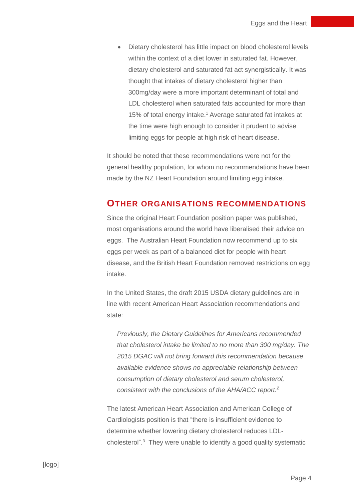Dietary cholesterol has little impact on blood cholesterol levels within the context of a diet lower in saturated fat. However, dietary cholesterol and saturated fat act synergistically. It was thought that intakes of dietary cholesterol higher than 300mg/day were a more important determinant of total and LDL cholesterol when saturated fats accounted for more than 15% of total energy intake.<sup>1</sup> Average saturated fat intakes at the time were high enough to consider it prudent to advise limiting eggs for people at high risk of heart disease.

It should be noted that these recommendations were not for the general healthy population, for whom no recommendations have been made by the NZ Heart Foundation around limiting egg intake.

#### **OTHER ORGANISATIONS RECOMMENDATIONS**

Since the original Heart Foundation position paper was published, most organisations around the world have liberalised their advice on eggs. The Australian Heart Foundation now recommend up to six eggs per week as part of a balanced diet for people with heart disease, and the British Heart Foundation removed restrictions on egg intake.

In the United States, the draft 2015 USDA dietary guidelines are in line with recent American Heart Association recommendations and state:

*Previously, the Dietary Guidelines for Americans recommended that cholesterol intake be limited to no more than 300 mg/day. The 2015 DGAC will not bring forward this recommendation because available evidence shows no appreciable relationship between consumption of dietary cholesterol and serum cholesterol, consistent with the conclusions of the AHA/ACC report.<sup>2</sup>*

The latest American Heart Association and American College of Cardiologists position is that "there is insufficient evidence to determine whether lowering dietary cholesterol reduces LDLcholesterol".<sup>3</sup> They were unable to identify a good quality systematic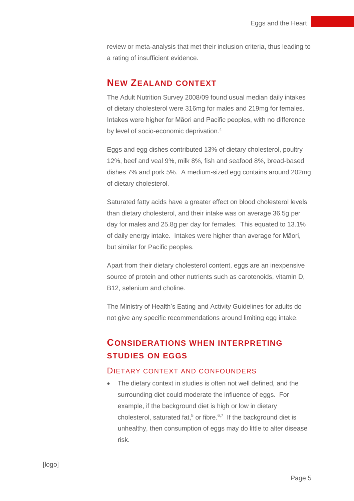review or meta-analysis that met their inclusion criteria, thus leading to a rating of insufficient evidence.

#### **NEW ZEALAND CONTEXT**

The Adult Nutrition Survey 2008/09 found usual median daily intakes of dietary cholesterol were 316mg for males and 219mg for females. Intakes were higher for Māori and Pacific peoples, with no difference by level of socio-economic deprivation.<sup>4</sup>

Eggs and egg dishes contributed 13% of dietary cholesterol, poultry 12%, beef and veal 9%, milk 8%, fish and seafood 8%, bread-based dishes 7% and pork 5%. A medium-sized egg contains around 202mg of dietary cholesterol.

Saturated fatty acids have a greater effect on blood cholesterol levels than dietary cholesterol, and their intake was on average 36.5g per day for males and 25.8g per day for females. This equated to 13.1% of daily energy intake. Intakes were higher than average for Māori, but similar for Pacific peoples.

Apart from their dietary cholesterol content, eggs are an inexpensive source of protein and other nutrients such as carotenoids, vitamin D, B12, selenium and choline.

The Ministry of Health's Eating and Activity Guidelines for adults do not give any specific recommendations around limiting egg intake.

# **CONSIDERATIONS WHEN INTERPRETING STUDIES ON EGGS**

#### DIETARY CONTEXT AND CONFOUNDERS

 The dietary context in studies is often not well defined, and the surrounding diet could moderate the influence of eggs. For example, if the background diet is high or low in dietary cholesterol, saturated fat,<sup>5</sup> or fibre.<sup>6,7</sup> If the background diet is unhealthy, then consumption of eggs may do little to alter disease risk.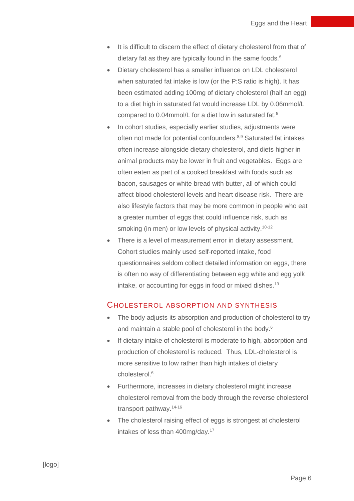- It is difficult to discern the effect of dietary cholesterol from that of dietary fat as they are typically found in the same foods.<sup>6</sup>
- Dietary cholesterol has a smaller influence on LDL cholesterol when saturated fat intake is low (or the P:S ratio is high). It has been estimated adding 100mg of dietary cholesterol (half an egg) to a diet high in saturated fat would increase LDL by 0.06mmol/L compared to 0.04mmol/L for a diet low in saturated fat.<sup>5</sup>
- In cohort studies, especially earlier studies, adjustments were often not made for potential confounders.<sup>8,9</sup> Saturated fat intakes often increase alongside dietary cholesterol, and diets higher in animal products may be lower in fruit and vegetables. Eggs are often eaten as part of a cooked breakfast with foods such as bacon, sausages or white bread with butter, all of which could affect blood cholesterol levels and heart disease risk. There are also lifestyle factors that may be more common in people who eat a greater number of eggs that could influence risk, such as smoking (in men) or low levels of physical activity.<sup>10-12</sup>
- There is a level of measurement error in dietary assessment. Cohort studies mainly used self-reported intake, food questionnaires seldom collect detailed information on eggs, there is often no way of differentiating between egg white and egg yolk intake, or accounting for eggs in food or mixed dishes.<sup>13</sup>

#### CHOLESTEROL ABSORPTION AND SYNTHESIS

- The body adjusts its absorption and production of cholesterol to try and maintain a stable pool of cholesterol in the body.<sup>6</sup>
- If dietary intake of cholesterol is moderate to high, absorption and production of cholesterol is reduced. Thus, LDL-cholesterol is more sensitive to low rather than high intakes of dietary cholesterol.<sup>6</sup>
- Furthermore, increases in dietary cholesterol might increase cholesterol removal from the body through the reverse cholesterol transport pathway.14-16
- The cholesterol raising effect of eggs is strongest at cholesterol intakes of less than 400mg/day.<sup>17</sup>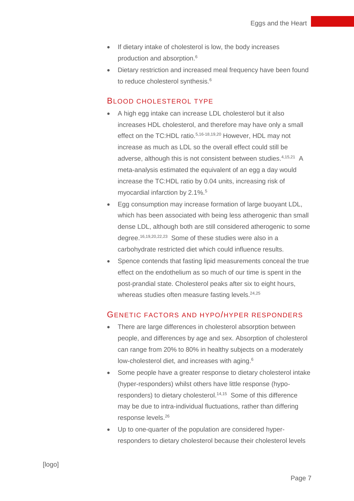- If dietary intake of cholesterol is low, the body increases production and absorption. 6
- Dietary restriction and increased meal frequency have been found to reduce cholesterol synthesis.<sup>6</sup>

#### BLOOD CHOLESTEROL TYPE

- A high egg intake can increase LDL cholesterol but it also increases HDL cholesterol, and therefore may have only a small effect on the TC:HDL ratio.<sup>5,16-18,19,20</sup> However, HDL may not increase as much as LDL so the overall effect could still be adverse, although this is not consistent between studies.<sup>4,15,21</sup> A meta-analysis estimated the equivalent of an egg a day would increase the TC:HDL ratio by 0.04 units, increasing risk of myocardial infarction by 2.1%.<sup>5</sup>
- Egg consumption may increase formation of large buoyant LDL, which has been associated with being less atherogenic than small dense LDL, although both are still considered atherogenic to some degree. 16,19,20,22,23 Some of these studies were also in a carbohydrate restricted diet which could influence results.
- Spence contends that fasting lipid measurements conceal the true effect on the endothelium as so much of our time is spent in the post-prandial state. Cholesterol peaks after six to eight hours, whereas studies often measure fasting levels.<sup>24,25</sup>

#### GENETIC FACTORS AND HYPO/HYPER RESPONDERS

- There are large differences in cholesterol absorption between people, and differences by age and sex. Absorption of cholesterol can range from 20% to 80% in healthy subjects on a moderately low-cholesterol diet, and increases with aging.<sup>6</sup>
- Some people have a greater response to dietary cholesterol intake (hyper-responders) whilst others have little response (hyporesponders) to dietary cholesterol. 14,15 Some of this difference may be due to intra-individual fluctuations, rather than differing response levels.<sup>26</sup>
- Up to one-quarter of the population are considered hyperresponders to dietary cholesterol because their cholesterol levels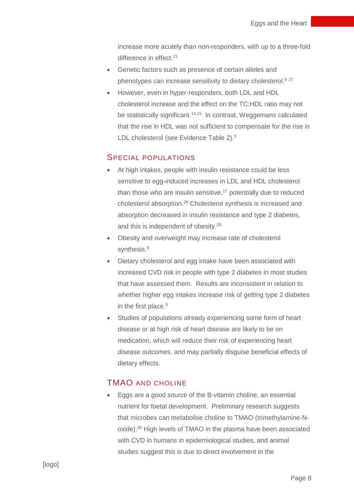increase more acutely than non-responders, with up to a three-fold difference in effect.<sup>21</sup>

- Genetic factors such as presence of certain alleles and phenotypes can increase sensitivity to dietary cholesterol.<sup>6</sup> <sup>27</sup>
- However, even in hyper-responders, both LDL and HDL cholesterol increase and the effect on the TC:HDL ratio may not be statistically significant.<sup>14,15</sup> In contrast, Weggemans calculated that the rise in HDL was not sufficient to compensate for the rise in LDL cholesterol (see Evidence Table 2).<sup>5</sup>

#### SPECIAL POPULATIONS

- At high intakes, people with insulin resistance could be less sensitive to egg-induced increases in LDL and HDL cholesterol than those who are insulin sensitive,<sup>17</sup> potentially due to reduced cholesterol absorption.<sup>28</sup> Cholesterol synthesis is increased and absorption decreased in insulin resistance and type 2 diabetes, and this is independent of obesity.<sup>29</sup>
- Obesity and overweight may increase rate of cholesterol synthesis. 6
- Dietary cholesterol and egg intake have been associated with increased CVD risk in people with type 2 diabetes in most studies that have assessed them. Results are inconsistent in relation to whether higher egg intakes increase risk of getting type 2 diabetes in the first place. 9
- Studies of populations already experiencing some form of heart disease or at high risk of heart disease are likely to be on medication, which will reduce their risk of experiencing heart disease outcomes, and may partially disguise beneficial effects of dietary effects.

#### TMAO AND CHOLINE

 Eggs are a good source of the B-vitamin choline, an essential nutrient for foetal development. Preliminary research suggests that microbes can metabolise choline to TMAO (trimethylamine-Noxide).<sup>30</sup> High levels of TMAO in the plasma have been associated with CVD in humans in epidemiological studies, and animal studies suggest this is due to direct involvement in the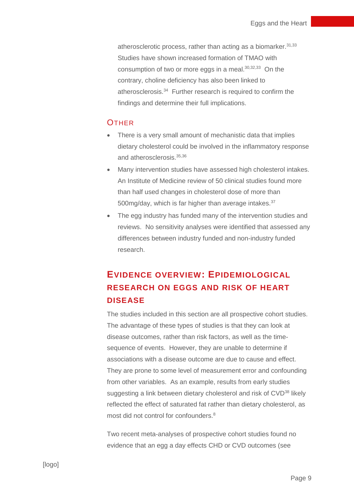atherosclerotic process, rather than acting as a biomarker.  $31,33$ Studies have shown increased formation of TMAO with consumption of two or more eggs in a meal. 30,32,33 On the contrary, choline deficiency has also been linked to atherosclerosis.<sup>34</sup> Further research is required to confirm the findings and determine their full implications.

#### **OTHER**

- There is a very small amount of mechanistic data that implies dietary cholesterol could be involved in the inflammatory response and atherosclerosis.35,36
- Many intervention studies have assessed high cholesterol intakes. An Institute of Medicine review of 50 clinical studies found more than half used changes in cholesterol dose of more than 500mg/day, which is far higher than average intakes.<sup>37</sup>
- The egg industry has funded many of the intervention studies and reviews. No sensitivity analyses were identified that assessed any differences between industry funded and non-industry funded research.

# **EVIDENCE OVERVIEW: EPIDEMIOLOGICAL RESEARCH ON EGGS AND RISK OF HEART DISEASE**

The studies included in this section are all prospective cohort studies. The advantage of these types of studies is that they can look at disease outcomes, rather than risk factors, as well as the timesequence of events. However, they are unable to determine if associations with a disease outcome are due to cause and effect. They are prone to some level of measurement error and confounding from other variables. As an example, results from early studies suggesting a link between dietary cholesterol and risk of CVD<sup>38</sup> likely reflected the effect of saturated fat rather than dietary cholesterol, as most did not control for confounders.<sup>8</sup>

Two recent meta-analyses of prospective cohort studies found no evidence that an egg a day effects CHD or CVD outcomes (see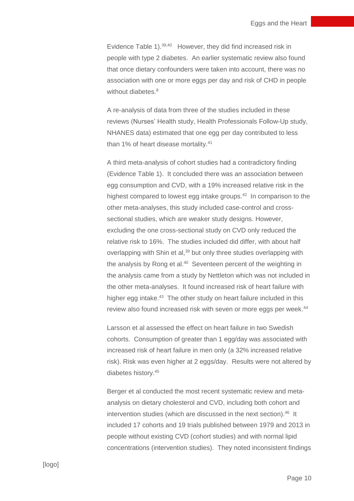Evidence Table 1).<sup>39,40</sup> However, they did find increased risk in people with type 2 diabetes. An earlier systematic review also found that once dietary confounders were taken into account, there was no association with one or more eggs per day and risk of CHD in people without diabetes.<sup>8</sup>

A re-analysis of data from three of the studies included in these reviews (Nurses' Health study, Health Professionals Follow-Up study, NHANES data) estimated that one egg per day contributed to less than 1% of heart disease mortality.<sup>41</sup>

A third meta-analysis of cohort studies had a contradictory finding (Evidence Table 1). It concluded there was an association between egg consumption and CVD, with a 19% increased relative risk in the highest compared to lowest egg intake groups.<sup>42</sup> In comparison to the other meta-analyses, this study included case-control and crosssectional studies, which are weaker study designs. However, excluding the one cross-sectional study on CVD only reduced the relative risk to 16%. The studies included did differ, with about half overlapping with Shin et al,<sup>39</sup> but only three studies overlapping with the analysis by Rong et al.<sup>40</sup> Seventeen percent of the weighting in the analysis came from a study by Nettleton which was not included in the other meta-analyses. It found increased risk of heart failure with higher egg intake.<sup>43</sup> The other study on heart failure included in this review also found increased risk with seven or more eggs per week.<sup>44</sup>

Larsson et al assessed the effect on heart failure in two Swedish cohorts. Consumption of greater than 1 egg/day was associated with increased risk of heart failure in men only (a 32% increased relative risk). Risk was even higher at 2 eggs/day. Results were not altered by diabetes history.<sup>45</sup>

Berger et al conducted the most recent systematic review and metaanalysis on dietary cholesterol and CVD, including both cohort and intervention studies (which are discussed in the next section).<sup>46</sup> It included 17 cohorts and 19 trials published between 1979 and 2013 in people without existing CVD (cohort studies) and with normal lipid concentrations (intervention studies). They noted inconsistent findings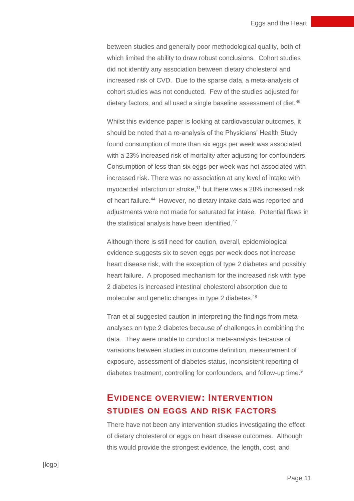between studies and generally poor methodological quality, both of which limited the ability to draw robust conclusions. Cohort studies did not identify any association between dietary cholesterol and increased risk of CVD. Due to the sparse data, a meta-analysis of cohort studies was not conducted. Few of the studies adjusted for dietary factors, and all used a single baseline assessment of diet.<sup>46</sup>

Whilst this evidence paper is looking at cardiovascular outcomes, it should be noted that a re-analysis of the Physicians' Health Study found consumption of more than six eggs per week was associated with a 23% increased risk of mortality after adjusting for confounders. Consumption of less than six eggs per week was not associated with increased risk. There was no association at any level of intake with myocardial infarction or stroke,<sup>11</sup> but there was a 28% increased risk of heart failure.<sup>44</sup> However, no dietary intake data was reported and adjustments were not made for saturated fat intake. Potential flaws in the statistical analysis have been identified.<sup>47</sup>

Although there is still need for caution, overall, epidemiological evidence suggests six to seven eggs per week does not increase heart disease risk, with the exception of type 2 diabetes and possibly heart failure. A proposed mechanism for the increased risk with type 2 diabetes is increased intestinal cholesterol absorption due to molecular and genetic changes in type 2 diabetes.<sup>48</sup>

Tran et al suggested caution in interpreting the findings from metaanalyses on type 2 diabetes because of challenges in combining the data. They were unable to conduct a meta-analysis because of variations between studies in outcome definition, measurement of exposure, assessment of diabetes status, inconsistent reporting of diabetes treatment, controlling for confounders, and follow-up time.<sup>9</sup>

## **EVIDENCE OVERVIEW: INTERVENTION STUDIES ON EGGS AND RISK FACTORS**

There have not been any intervention studies investigating the effect of dietary cholesterol or eggs on heart disease outcomes. Although this would provide the strongest evidence, the length, cost, and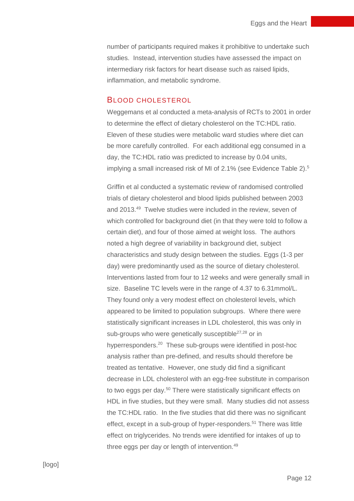number of participants required makes it prohibitive to undertake such studies. Instead, intervention studies have assessed the impact on intermediary risk factors for heart disease such as raised lipids, inflammation, and metabolic syndrome.

#### BLOOD CHOLESTEROL

Weggemans et al conducted a meta-analysis of RCTs to 2001 in order to determine the effect of dietary cholesterol on the TC:HDL ratio. Eleven of these studies were metabolic ward studies where diet can be more carefully controlled. For each additional egg consumed in a day, the TC:HDL ratio was predicted to increase by 0.04 units, implying a small increased risk of MI of 2.1% (see Evidence Table 2). 5

Griffin et al conducted a systematic review of randomised controlled trials of dietary cholesterol and blood lipids published between 2003 and 2013.<sup>49</sup> Twelve studies were included in the review, seven of which controlled for background diet (in that they were told to follow a certain diet), and four of those aimed at weight loss. The authors noted a high degree of variability in background diet, subject characteristics and study design between the studies. Eggs (1-3 per day) were predominantly used as the source of dietary cholesterol. Interventions lasted from four to 12 weeks and were generally small in size. Baseline TC levels were in the range of 4.37 to 6.31mmol/L. They found only a very modest effect on cholesterol levels, which appeared to be limited to population subgroups. Where there were statistically significant increases in LDL cholesterol, this was only in sub-groups who were genetically susceptible<sup>27,28</sup> or in hyperresponders.<sup>20</sup> These sub-groups were identified in post-hoc analysis rather than pre-defined, and results should therefore be treated as tentative. However, one study did find a significant decrease in LDL cholesterol with an egg-free substitute in comparison to two eggs per day.<sup>50</sup> There were statistically significant effects on HDL in five studies, but they were small. Many studies did not assess the TC:HDL ratio. In the five studies that did there was no significant effect, except in a sub-group of hyper-responders.<sup>51</sup> There was little effect on triglycerides. No trends were identified for intakes of up to three eggs per day or length of intervention.<sup>49</sup>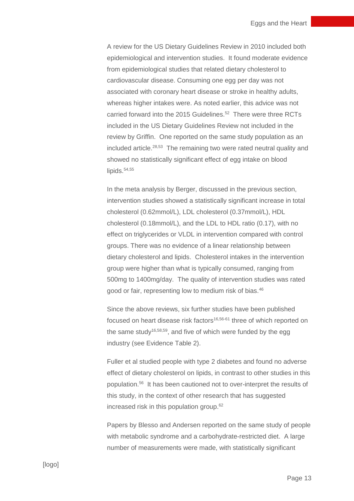A review for the US Dietary Guidelines Review in 2010 included both epidemiological and intervention studies. It found moderate evidence from epidemiological studies that related dietary cholesterol to cardiovascular disease. Consuming one egg per day was not associated with coronary heart disease or stroke in healthy adults, whereas higher intakes were. As noted earlier, this advice was not carried forward into the 2015 Guidelines. 52 There were three RCTs included in the US Dietary Guidelines Review not included in the review by Griffin. One reported on the same study population as an included article.<sup>28,53</sup> The remaining two were rated neutral quality and showed no statistically significant effect of egg intake on blood lipids. $54,55$ 

In the meta analysis by Berger, discussed in the previous section, intervention studies showed a statistically significant increase in total cholesterol (0.62mmol/L), LDL cholesterol (0.37mmol/L), HDL cholesterol (0.18mmol/L), and the LDL to HDL ratio (0.17), with no effect on triglycerides or VLDL in intervention compared with control groups. There was no evidence of a linear relationship between dietary cholesterol and lipids. Cholesterol intakes in the intervention group were higher than what is typically consumed, ranging from 500mg to 1400mg/day. The quality of intervention studies was rated good or fair, representing low to medium risk of bias.<sup>46</sup>

Since the above reviews, six further studies have been published focused on heart disease risk factors<sup>16,56-61</sup> three of which reported on the same study<sup>16,58,59</sup>, and five of which were funded by the egg industry (see Evidence Table 2).

Fuller et al studied people with type 2 diabetes and found no adverse effect of dietary cholesterol on lipids, in contrast to other studies in this population.<sup>56</sup> It has been cautioned not to over-interpret the results of this study, in the context of other research that has suggested increased risk in this population group. 62

Papers by Blesso and Andersen reported on the same study of people with metabolic syndrome and a carbohydrate-restricted diet. A large number of measurements were made, with statistically significant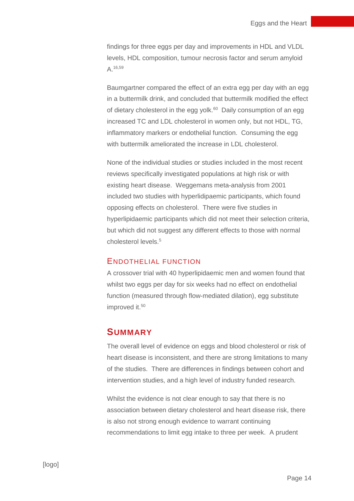findings for three eggs per day and improvements in HDL and VLDL levels, HDL composition, tumour necrosis factor and serum amyloid A. 16,59

Baumgartner compared the effect of an extra egg per day with an egg in a buttermilk drink, and concluded that buttermilk modified the effect of dietary cholesterol in the egg yolk. $^{60}$  Daily consumption of an egg increased TC and LDL cholesterol in women only, but not HDL, TG, inflammatory markers or endothelial function. Consuming the egg with buttermilk ameliorated the increase in LDL cholesterol.

None of the individual studies or studies included in the most recent reviews specifically investigated populations at high risk or with existing heart disease. Weggemans meta-analysis from 2001 included two studies with hyperlidipaemic participants, which found opposing effects on cholesterol. There were five studies in hyperlipidaemic participants which did not meet their selection criteria, but which did not suggest any different effects to those with normal cholesterol levels.<sup>5</sup>

#### ENDOTHELIAL FUNCTION

A crossover trial with 40 hyperlipidaemic men and women found that whilst two eggs per day for six weeks had no effect on endothelial function (measured through flow-mediated dilation), egg substitute improved it. 50

#### **SUMMARY**

The overall level of evidence on eggs and blood cholesterol or risk of heart disease is inconsistent, and there are strong limitations to many of the studies. There are differences in findings between cohort and intervention studies, and a high level of industry funded research.

Whilst the evidence is not clear enough to say that there is no association between dietary cholesterol and heart disease risk, there is also not strong enough evidence to warrant continuing recommendations to limit egg intake to three per week. A prudent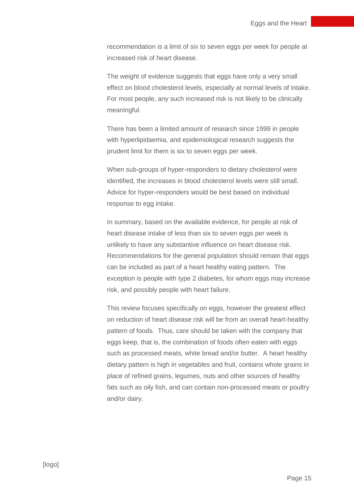recommendation is a limit of six to seven eggs per week for people at increased risk of heart disease.

The weight of evidence suggests that eggs have only a very small effect on blood cholesterol levels, especially at normal levels of intake. For most people, any such increased risk is not likely to be clinically meaningful.

There has been a limited amount of research since 1999 in people with hyperlipidaemia, and epidemiological research suggests the prudent limit for them is six to seven eggs per week.

When sub-groups of hyper-responders to dietary cholesterol were identified, the increases in blood cholesterol levels were still small. Advice for hyper-responders would be best based on individual response to egg intake.

In summary, based on the available evidence, for people at risk of heart disease intake of less than six to seven eggs per week is unlikely to have any substantive influence on heart disease risk. Recommendations for the general population should remain that eggs can be included as part of a heart healthy eating pattern. The exception is people with type 2 diabetes, for whom eggs may increase risk, and possibly people with heart failure.

This review focuses specifically on eggs, however the greatest effect on reduction of heart disease risk will be from an overall heart-healthy pattern of foods. Thus, care should be taken with the company that eggs keep, that is, the combination of foods often eaten with eggs such as processed meats, white bread and/or butter. A heart healthy dietary pattern is high in vegetables and fruit, contains whole grains in place of refined grains, legumes, nuts and other sources of healthy fats such as oily fish, and can contain non-processed meats or poultry and/or dairy.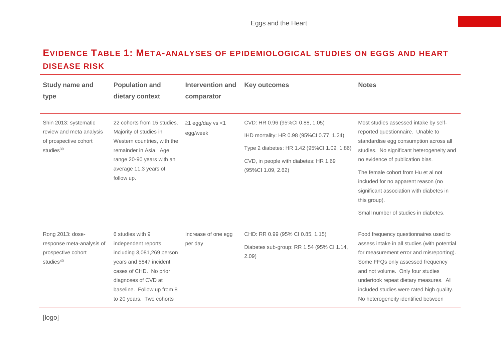# **EVIDENCE TABLE 1: META-ANALYSES OF EPIDEMIOLOGICAL STUDIES ON EGGS AND HEART DISEASE RISK**

| <b>Study name and</b><br>type                                                                       | <b>Population and</b><br>dietary context                                                                                                                                                                    | <b>Intervention and</b><br>comparator | <b>Key outcomes</b>                                                                                                                                                                        | <b>Notes</b>                                                                                                                                                                                                                                                                                                                                                                            |
|-----------------------------------------------------------------------------------------------------|-------------------------------------------------------------------------------------------------------------------------------------------------------------------------------------------------------------|---------------------------------------|--------------------------------------------------------------------------------------------------------------------------------------------------------------------------------------------|-----------------------------------------------------------------------------------------------------------------------------------------------------------------------------------------------------------------------------------------------------------------------------------------------------------------------------------------------------------------------------------------|
| Shin 2013: systematic<br>review and meta analysis<br>of prospective cohort<br>studies <sup>39</sup> | 22 cohorts from 15 studies.<br>Majority of studies in<br>Western countries, with the<br>remainder in Asia. Age<br>range 20-90 years with an<br>average 11.3 years of<br>follow up.                          | $\geq$ 1 egg/day vs <1<br>egg/week    | CVD: HR 0.96 (95%Cl 0.88, 1.05)<br>IHD mortality: HR 0.98 (95%CI 0.77, 1.24)<br>Type 2 diabetes: HR 1.42 (95%Cl 1.09, 1.86)<br>CVD, in people with diabetes: HR 1.69<br>(95%Cl 1.09, 2.62) | Most studies assessed intake by self-<br>reported questionnaire. Unable to<br>standardise egg consumption across all<br>studies. No significant heterogeneity and<br>no evidence of publication bias.<br>The female cohort from Hu et al not<br>included for no apparent reason (no<br>significant association with diabetes in<br>this group).<br>Small number of studies in diabetes. |
| Rong 2013: dose-<br>response meta-analysis of<br>prospective cohort<br>studies <sup>40</sup>        | 6 studies with 9<br>independent reports<br>including 3,081,269 person<br>years and 5847 incident<br>cases of CHD. No prior<br>diagnoses of CVD at<br>baseline. Follow up from 8<br>to 20 years. Two cohorts | Increase of one egg<br>per day        | CHD: RR 0.99 (95% CI 0.85, 1.15)<br>Diabetes sub-group: RR 1.54 (95% Cl 1.14,<br>2.09)                                                                                                     | Food frequency questionnaires used to<br>assess intake in all studies (with potential<br>for measurement error and misreporting).<br>Some FFQs only assessed frequency<br>and not volume. Only four studies<br>undertook repeat dietary measures. All<br>included studies were rated high quality.<br>No heterogeneity identified between                                               |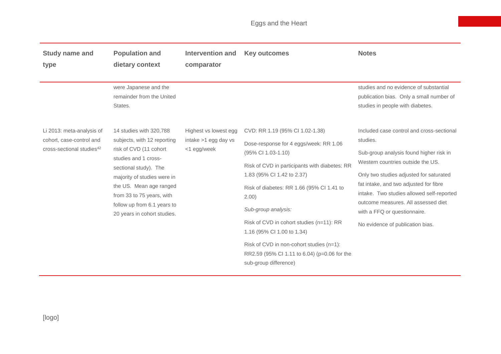| <b>Study name and</b><br>type                                                                  | <b>Population and</b><br>dietary context                                                                                                                                                                                                                                               | <b>Intervention and</b><br>comparator                        | <b>Key outcomes</b>                                                                                                                                                                                                                                                                                                                                                                                                                                        | <b>Notes</b>                                                                                                                                                                                                                                                                                                                                                                       |
|------------------------------------------------------------------------------------------------|----------------------------------------------------------------------------------------------------------------------------------------------------------------------------------------------------------------------------------------------------------------------------------------|--------------------------------------------------------------|------------------------------------------------------------------------------------------------------------------------------------------------------------------------------------------------------------------------------------------------------------------------------------------------------------------------------------------------------------------------------------------------------------------------------------------------------------|------------------------------------------------------------------------------------------------------------------------------------------------------------------------------------------------------------------------------------------------------------------------------------------------------------------------------------------------------------------------------------|
|                                                                                                | were Japanese and the<br>remainder from the United<br>States.                                                                                                                                                                                                                          |                                                              |                                                                                                                                                                                                                                                                                                                                                                                                                                                            | studies and no evidence of substantial<br>publication bias. Only a small number of<br>studies in people with diabetes.                                                                                                                                                                                                                                                             |
| Li 2013: meta-analysis of<br>cohort, case-control and<br>cross-sectional studies <sup>42</sup> | 14 studies with 320,788<br>subjects, with 12 reporting<br>risk of CVD (11 cohort<br>studies and 1 cross-<br>sectional study). The<br>majority of studies were in<br>the US. Mean age ranged<br>from 33 to 75 years, with<br>follow up from 6.1 years to<br>20 years in cohort studies. | Highest vs lowest egg<br>intake >1 egg day vs<br><1 egg/week | CVD: RR 1.19 (95% CI 1.02-1.38)<br>Dose-response for 4 eggs/week: RR 1.06<br>(95% CI 1.03-1.10)<br>Risk of CVD in participants with diabetes: RR<br>1.83 (95% CI 1.42 to 2.37)<br>Risk of diabetes: RR 1.66 (95% Cl 1.41 to<br>2.00)<br>Sub-group analysis:<br>Risk of CVD in cohort studies (n=11): RR<br>1.16 (95% CI 1.00 to 1.34)<br>Risk of CVD in non-cohort studies (n=1):<br>RR2.59 (95% CI 1.11 to 6.04) (p=0.06 for the<br>sub-group difference) | Included case control and cross-sectional<br>studies.<br>Sub-group analysis found higher risk in<br>Western countries outside the US.<br>Only two studies adjusted for saturated<br>fat intake, and two adjusted for fibre<br>intake. Two studies allowed self-reported<br>outcome measures. All assessed diet<br>with a FFQ or questionnaire.<br>No evidence of publication bias. |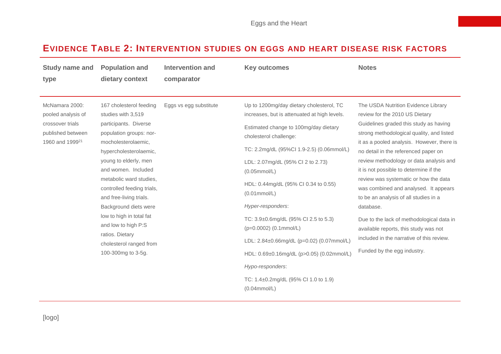# **EVIDENCE TABLE 2: INTERVENTION STUDIES ON EGGS AND HEART DISEASE RISK FACTORS**

| <b>Study name and</b><br>type                                                                                | <b>Population and</b><br>dietary context                                                                                                                                                                                                                                                                                                                                                                                               | Intervention and<br>comparator | <b>Key outcomes</b>                                                                                                                                                                                                                                                                                                                                                                                                                                                                                                                                                                              | <b>Notes</b>                                                                                                                                                                                                                                                                                                                                                                                                                                                                                                                                                                                                                                      |
|--------------------------------------------------------------------------------------------------------------|----------------------------------------------------------------------------------------------------------------------------------------------------------------------------------------------------------------------------------------------------------------------------------------------------------------------------------------------------------------------------------------------------------------------------------------|--------------------------------|--------------------------------------------------------------------------------------------------------------------------------------------------------------------------------------------------------------------------------------------------------------------------------------------------------------------------------------------------------------------------------------------------------------------------------------------------------------------------------------------------------------------------------------------------------------------------------------------------|---------------------------------------------------------------------------------------------------------------------------------------------------------------------------------------------------------------------------------------------------------------------------------------------------------------------------------------------------------------------------------------------------------------------------------------------------------------------------------------------------------------------------------------------------------------------------------------------------------------------------------------------------|
| McNamara 2000:<br>pooled analysis of<br>crossover trials<br>published between<br>1960 and 1999 <sup>21</sup> | 167 cholesterol feeding<br>studies with 3,519<br>participants. Diverse<br>population groups: nor-<br>mocholesterolaemic,<br>hypercholesterolaemic,<br>young to elderly, men<br>and women. Included<br>metabolic ward studies,<br>controlled feeding trials,<br>and free-living trials.<br>Background diets were<br>low to high in total fat<br>and low to high P:S<br>ratios. Dietary<br>cholesterol ranged from<br>100-300mg to 3-5g. | Eggs vs egg substitute         | Up to 1200mg/day dietary cholesterol, TC<br>increases, but is attenuated at high levels.<br>Estimated change to 100mg/day dietary<br>cholesterol challenge:<br>TC: 2.2mg/dL (95%Cl 1.9-2.5) (0.06mmol/L)<br>LDL: 2.07mg/dL (95% CI 2 to 2.73)<br>(0.05mmol/L)<br>HDL: 0.44mg/dL (95% CI 0.34 to 0.55)<br>$(0.01$ mmol/L $)$<br>Hyper-responders:<br>TC: 3.9±0.6mg/dL (95% CI 2.5 to 5.3)<br>(p=0.0002) (0.1mmol/L)<br>LDL: 2.84±0.66mg/dL (p=0.02) (0.07mmol/L)<br>HDL: 0.69±0.16mg/dL (p>0.05) (0.02mmol/L)<br>Hypo-responders:<br>TC: $1.4\pm0.2$ mg/dL (95% Cl 1.0 to 1.9)<br>$(0.04$ mmol/L) | The USDA Nutrition Evidence Library<br>review for the 2010 US Dietary<br>Guidelines graded this study as having<br>strong methodological quality, and listed<br>it as a pooled analysis. However, there is<br>no detail in the referenced paper on<br>review methodology or data analysis and<br>it is not possible to determine if the<br>review was systematic or how the data<br>was combined and analysed. It appears<br>to be an analysis of all studies in a<br>database.<br>Due to the lack of methodological data in<br>available reports, this study was not<br>included in the narrative of this review.<br>Funded by the egg industry. |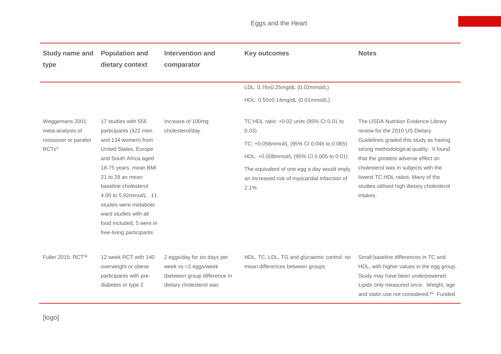| <b>Study name and</b><br>type                                                     | <b>Population and</b><br>dietary context                                                                                                                                                                                                                                                                                        | <b>Intervention and</b><br>comparator                                                                          | <b>Key outcomes</b>                                                                                                                                                                                                                                | <b>Notes</b>                                                                                                                                                                                                                                                                                                                            |
|-----------------------------------------------------------------------------------|---------------------------------------------------------------------------------------------------------------------------------------------------------------------------------------------------------------------------------------------------------------------------------------------------------------------------------|----------------------------------------------------------------------------------------------------------------|----------------------------------------------------------------------------------------------------------------------------------------------------------------------------------------------------------------------------------------------------|-----------------------------------------------------------------------------------------------------------------------------------------------------------------------------------------------------------------------------------------------------------------------------------------------------------------------------------------|
|                                                                                   |                                                                                                                                                                                                                                                                                                                                 |                                                                                                                | LDL: 0.76±0.25mg/dL (0.02mmol/L)<br>HDL: 0.50±0.14mg/dL (0.01mmol/L)                                                                                                                                                                               |                                                                                                                                                                                                                                                                                                                                         |
| Weggemans 2001:<br>meta-analysis of<br>crossover or parallel<br>RCTs <sup>5</sup> | 17 studies with 556<br>participants (422 men<br>and 134 women) from<br>United States, Europe<br>and South Africa aged<br>18-75 years, mean BMI<br>21 to 28 an mean<br>baseline cholesterol<br>4.05 to 5.92mmol/L, 11<br>studies were metabolic<br>ward studies with all<br>food included; 5 were in<br>free-living participants | Increase of 100mg<br>cholesterol/day                                                                           | TC:HDL ratio: +0.02 units (95% CI 0.01 to<br>0.03)<br>TC: +0.056mmol/L (95% CI 0.046 to 0.065)<br>HDL: +0.008mmol/L (95% CI 0.005 to 0.01)<br>The equivalent of one egg a day would imply<br>an increased risk of myocardial infarction of<br>2.1% | The USDA Nutrition Evidence Library<br>review for the 2010 US Dietary<br>Guidelines graded this study as having<br>strong methodological quality. It found<br>that the greatest adverse effect on<br>cholesterol was in subjects with the<br>lowest TC:HDL ratios. Many of the<br>studies utilised high dietary cholesterol<br>intakes. |
| Fuller 2015: RCT <sup>56</sup>                                                    | 12 week RCT with 140<br>overweight or obese<br>participants with pre-<br>diabetes or type 2                                                                                                                                                                                                                                     | 2 eggs/day for six days per<br>week vs <2 eggs/week<br>(between group difference in<br>dietary cholesterol was | HDL, TC, LDL, TG and glycaemic control: no<br>mean differences between groups                                                                                                                                                                      | Small baseline differences in TC and<br>HDL, with higher values in the egg group.<br>Study may have been underpowered.<br>Lipids only measured once. Weight, age<br>and statin use not considered. <sup>62</sup> Funded                                                                                                                 |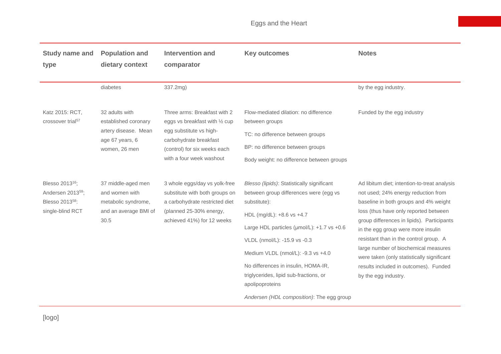| <b>Study name and</b>                                        | <b>Population and</b>                                    | <b>Intervention and</b>                                                           | <b>Key outcomes</b>                                    | <b>Notes</b>                                                                       |
|--------------------------------------------------------------|----------------------------------------------------------|-----------------------------------------------------------------------------------|--------------------------------------------------------|------------------------------------------------------------------------------------|
| type                                                         | dietary context                                          | comparator                                                                        |                                                        |                                                                                    |
|                                                              |                                                          |                                                                                   |                                                        |                                                                                    |
|                                                              | diabetes                                                 | 337.2mg)                                                                          |                                                        | by the egg industry.                                                               |
|                                                              |                                                          |                                                                                   |                                                        |                                                                                    |
| Katz 2015: RCT,                                              | 32 adults with                                           | Three arms: Breakfast with 2                                                      | Flow-mediated dilation: no difference                  | Funded by the egg industry                                                         |
| crossover trial <sup>57</sup>                                | established coronary                                     | eggs vs breakfast with 1/2 cup                                                    | between groups                                         |                                                                                    |
|                                                              | artery disease. Mean<br>age 67 years, 6<br>women, 26 men | egg substitute vs high-<br>carbohydrate breakfast<br>(control) for six weeks each | TC: no difference between groups                       |                                                                                    |
|                                                              |                                                          |                                                                                   | BP: no difference between groups                       |                                                                                    |
|                                                              |                                                          | with a four week washout                                                          | Body weight: no difference between groups              |                                                                                    |
|                                                              |                                                          |                                                                                   |                                                        |                                                                                    |
| Blesso 2013 <sup>16</sup> ;                                  | 37 middle-aged men<br>and women with                     | 3 whole eggs/day vs yolk-free                                                     | Blesso (lipids): Statistically significant             | Ad libitum diet; intention-to-treat analysis                                       |
| Andersen 2013 <sup>59</sup> ;<br>Blesso 2013 <sup>58</sup> : | metabolic syndrome,                                      | substitute with both groups on<br>a carbohydrate restricted diet                  | between group differences were (egg vs<br>substitute): | not used; 24% energy reduction from<br>baseline in both groups and 4% weight       |
| single-blind RCT                                             | and an average BMI of<br>30.5                            | (planned 25-30% energy,<br>achieved 41%) for 12 weeks                             | HDL (mg/dL): +8.6 vs +4.7                              | loss (thus have only reported between                                              |
|                                                              |                                                          |                                                                                   |                                                        | group differences in lipids). Participants                                         |
|                                                              |                                                          |                                                                                   | Large HDL particles (µmol/L): +1.7 vs +0.6             | in the egg group were more insulin                                                 |
|                                                              |                                                          |                                                                                   | VLDL (nmol/L): -15.9 vs -0.3                           | resistant than in the control group. A                                             |
|                                                              |                                                          |                                                                                   | Medium VLDL (nmol/L): -9.3 vs +4.0                     | large number of biochemical measures<br>were taken (only statistically significant |
|                                                              |                                                          |                                                                                   | No differences in insulin, HOMA-IR,                    | results included in outcomes). Funded                                              |
|                                                              |                                                          |                                                                                   | triglycerides, lipid sub-fractions, or                 | by the egg industry.                                                               |
|                                                              |                                                          |                                                                                   | apolipoproteins                                        |                                                                                    |
|                                                              |                                                          |                                                                                   | Andersen (HDL composition): The egg group              |                                                                                    |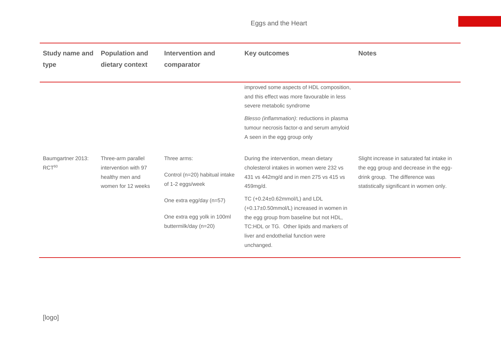| <b>Study name and</b><br>type          | <b>Population and</b><br>dietary context                      | <b>Intervention and</b><br>comparator                                                                | <b>Key outcomes</b>                                                                                                                                                                                                                                                                                                                                                                | <b>Notes</b>                                                                                                            |
|----------------------------------------|---------------------------------------------------------------|------------------------------------------------------------------------------------------------------|------------------------------------------------------------------------------------------------------------------------------------------------------------------------------------------------------------------------------------------------------------------------------------------------------------------------------------------------------------------------------------|-------------------------------------------------------------------------------------------------------------------------|
| Baumgartner 2013:<br>RCT <sup>60</sup> | Three-arm parallel<br>intervention with 97<br>healthy men and | Three arms:<br>Control (n=20) habitual intake                                                        | improved some aspects of HDL composition,<br>and this effect was more favourable in less<br>severe metabolic syndrome<br>Blesso (inflammation): reductions in plasma<br>tumour necrosis factor-α and serum amyloid<br>A seen in the egg group only<br>During the intervention, mean dietary<br>cholesterol intakes in women were 232 vs<br>431 vs 442mg/d and in men 275 vs 415 vs | Slight increase in saturated fat intake in<br>the egg group and decrease in the egg-<br>drink group. The difference was |
|                                        | women for 12 weeks                                            | of 1-2 eggs/week<br>One extra egg/day (n=57)<br>One extra egg yolk in 100ml<br>buttermilk/day (n=20) | 459mg/d.<br>TC (+0.24±0.62mmol/L) and LDL<br>(+0.17±0.50mmol/L) increased in women in<br>the egg group from baseline but not HDL,<br>TC:HDL or TG. Other lipids and markers of<br>liver and endothelial function were<br>unchanged.                                                                                                                                                | statistically significant in women only.                                                                                |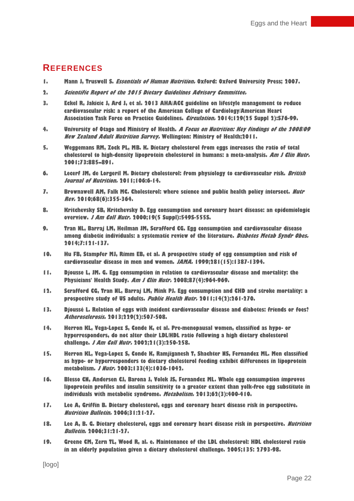#### **REFERENCES**

- **1. Mann J, Truswell S. Essentials of Human Nutrition. Oxford: Oxford University Press; 2007.**
- **2. Scientific Report of the 2015 Dietary Guidelines Advisory Committee.**
- **3. Eckel R, Jakicic J, Ard J, et al. 2013 AHA/ACC guideline on lifestyle management to reduce cardiovascular risk: a report of the American College of Cardiology/American Heart Association Task Force on Practice Guidelines. Circulation. 2014;129(25 Suppl 2):S76-99.**
- **4. University of Otago and Ministry of Health. A Focus on Nutrition: Key findings of the 2008/09 New Zealand Adult Nutrition Survey. Wellington: Ministry of Health;2011.**
- **5. Weggemans RM, Zock PL, MB. K. Dietary cholesterol from eggs increases the ratio of total cholesterol to high-density lipoprotein cholesterol in humans: a meta-analysis. Am J Clin Nutr. 2001;73:885–891.**
- **6. Lecerf JM, de Lorgeril M. Dietary cholesterol: from physiology to cardiovascular risk. British Journal of Nutrition. 2011;106:6-14.**
- **7. Brownawell AM, Falk MC. Cholesterol: where science and public health policy intersect. Nutr Rev. 2010;68(6):355-364.**
- **8. Kritchevsky SB, Kritchevsky D. Egg consumption and coronary heart disease: an epidemiologic overview. J Am Coll Nutr. 2000;19(5 Suppl):549S-555S.**
- **9. Tran NL, Barraj LM, Heilman JM, Scrafford CG. Egg consumption and cardiovascular disease among diabetic individuals: a systematic review of the literature. Diabetes Metab Syndr Obes. 2014;7:121-137.**
- **10. Hu FB, Stampfer MJ, Rimm EB, et al. A prospective study of egg consumption and risk of cardiovascular disease in men and women. JAMA. 1999;281(15):1387-1394.**
- **11. Djousse L, JM. G. Egg consumption in relation to cardiovascular disease and mortality: the Physicians' Health Study. Am J Clin Nutr. 2008;87(4):964-969.**
- **12. Scrafford CG, Tran NL, Barraj LM, Mink PJ. Egg consumption and CHD and stroke mortality: a prospective study of US adults. Public Health Nutr. 2011;14(2):261-270.**
- **13. Djoussé L. Relation of eggs with incident cardiovascular disease and diabetes: friends or foes? Atherosclerosis. 2013;229(2):507-508.**
- **14. Herron KL, Vega-Lopez S, Conde K, et al. Pre-menopausal women, classified as hypo- or hyperresponders, do not alter their LDL/HDL ratio following a high dietary cholesterol challenge. J Am Coll Nutr. 2002;21(3):250-258.**
- **15. Herron KL, Vega-Lopez S, Conde K, Ramjiganesh T, Shachter NS, Fernandez ML. Men classified as hypo- or hyperresponders to dietary cholesterol feeding exhibit differences in lipoprotein metabolism. J Nutr. 2003;133(4):1036-1042.**
- **16. Blesso CN, Andersen CJ, Barona J, Volek JS, Fernandez ML. Whole egg consumption improves lipoprotein profiles and insulin sensitivity to a greater extent than yolk-free egg substitute in individuals with metabolic syndrome. Metabolism. 2013;62(3):400-410.**
- **17. Lee A, Griffin B. Dietary cholesterol, eggs and coronary heart disease risk in perspective. Nutrition Bulletin. 2006;31:21-27.**
- **18. Lee A, B. G. Dietary cholesterol, eggs and coronary heart disease risk in perspective. Nutrition Bulletin. 2006;31:21-27.**
- **19. Greene CM, Zern TL, Wood R, al. e. Maintenance of the LDL cholesterol: HDL cholesterol ratio in an elderly population given a dietary cholesterol challenge. 2005;135: 2793-98.**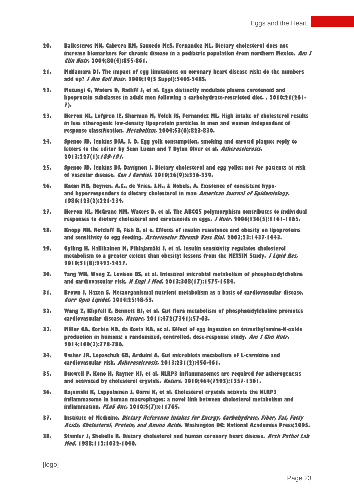- **20. Ballesteros MN, Cabrera RM, Saucedo MeS, Fernandez ML. Dietary cholesterol does not increase biomarkers for chronic disease in a pediatric population from northern Mexico. Am J Clin Nutr. 2004;80(4):855-861.**
- **21. McNamara DJ. The impact of egg limitations on coronary heart disease risk: do the numbers add up? J Am Coll Nutr. 2000;19(5 Suppl):540S-548S.**
- **22. Mutungi G, Waters D, Ratliff J, et al. Eggs distinctly modulate plasma carotenoid and lipoprotein subclasses in adult men following a carbohydrate-restricted diet. . 2010;21(261- 7).**
- **23. Herron KL, Lofgren IE, Sharman M, Volek JS, Fernandez ML. High intake of cholesterol results in less atherogenic low-density lipoprotein particles in men and women independent of response classification. Metabolism. 2004;53(6):823-830.**
- **24. Spence JD, Jenkins DJA, J. D. Egg yolk consumption, smoking and carotid plaque: reply to letters to the editor by Sean Lucan and T Dylan Olver et al. Atherosclerosis. 2013;227(1):189-191.**
- **25. Spence JD, Jenkins DJ, Davignon J. Dietary cholesterol and egg yolks: not for patients at risk of vascular disease. Can J Cardiol. 2010;26(9):e336-339.**
- **26. Katan MB, Beynen, A.C., de Vries, J.H., & Nobels, A. Existence of consistent hypoand hyperresponders to dietary cholesterol in man American Journal of Epidemiology. 1986;123(2):221-234.**
- **27. Herron KL, McGrane MM, Waters D, et al. The ABCG5 polymorphism contributes to individual responses to dietary cholesterol and carotenoids in eggs. J Nutr. 2006;136(5):1161-1165.**
- **28. Knopp RH, Retzlaff B, Fish B, al e. Effects of insulin resistance and obesity on lipoproteins and sensitivity to egg feeding. Arterioscler Thromb Vasc Biol. 2003;23:1437-1443.**
- **29. Gylling H, Hallikainen M, Pihlajamäki J, et al. Insulin sensitivity regulates cholesterol metabolism to a greater extent than obesity: lessons from the METSIM Study. J Lipid Res. 2010;51(8):2422-2427.**
- **30. Tang WH, Wang Z, Levison BS, et al. Intestinal microbial metabolism of phosphatidylcholine and cardiovascular risk. N Engl J Med. 2013;368(17):1575-1584.**
- **31. Brown J, Hazen S. Metaorganismal nutrient metabolism as a basis of cardiovascular disease. Curr Opin Lipidol. 2014;25:48-53.**
- **32. Wang Z, Klipfell E, Bennett BJ, et al. Gut flora metabolism of phosphatidylcholine promotes cardiovascular disease. Nature. 2011;472(7341):57-63.**
- **33. Miller CA, Corbin KD, da Costa KA, et al. Effect of egg ingestion on trimethylamine-N-oxide production in humans: a randomized, controlled, dose-response study. Am J Clin Nutr. 2014;100(3):778-786.**
- **34. Ussher JR, Lopaschuk GD, Arduini A. Gut microbiota metabolism of L-carnitine and cardiovascular risk. Atherosclerosis. 2013;231(2):456-461.**
- **35. Duewell P, Kono H, Rayner KJ, et al. NLRP3 inflammasomes are required for atherogenesis and activated by cholesterol crystals. Nature. 2010;464(7293):1357-1361.**
- **36. Rajamäki K, Lappalainen J, Oörni K, et al. Cholesterol crystals activate the NLRP3 inflammasome in human macrophages: a novel link between cholesterol metabolism and inflammation. PLoS One. 2010;5(7):e11765.**
- **37. Institute of Medicine. Dietary Reference Intakes for Energy, Carbohydrate, Fiber, Fat, Fatty Acids, Cholesterol, Protein, and Amino Acids. Washington DC: National Academies Press;2005.**
- **38. Stamler J, Shekelle R. Dietary cholesterol and human coronary heart disease. Arch Pathol Lab Med. 1988;112:1032-1040.**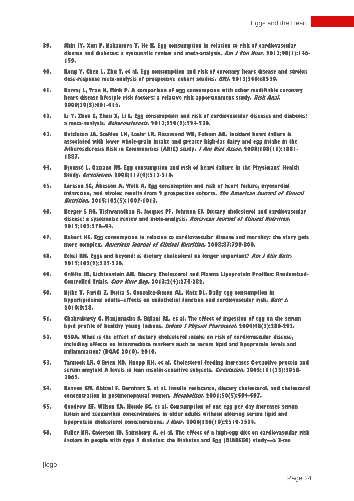- **39. Shin JY, Xun P, Nakamura Y, He K. Egg consumption in relation to risk of cardiovascular disease and diabetes: a systematic review and meta-analysis. Am J Clin Nutr. 2013;98(1):146- 159.**
- **40. Rong Y, Chen L, Zhu T, et al. Egg consumption and risk of coronary heart disease and stroke: dose-response meta-analysis of prospective cohort studies. BMJ. 2013;346:e8539.**
- **41. Barraj L, Tran N, Mink P. A comparison of egg consumption with other modifiable coronary heart disease lifestyle risk factors: a relative risk apportionment study. Risk Anal. 2009;29(3):401-415.**
- **42. Li Y, Zhou C, Zhou X, Li L. Egg consumption and risk of cardiovascular diseases and diabetes: a meta-analysis. Atherosclerosis. 2013;229(2):524-530.**
- **43. Nettleton JA, Steffen LM, Loehr LR, Rosamond WD, Folsom AR. Incident heart failure is associated with lower whole-grain intake and greater high-fat dairy and egg intake in the Atherosclerosis Risk in Communities (ARIC) study. J Am Diet Assoc. 2008;108(11):1881- 1887.**
- **44. Djoussé L, Gaziano JM. Egg consumption and risk of heart failure in the Physicians' Health Study. Circulation. 2008;117(4):512-516.**
- **45. Larsson SC, Åkesson A, Wolk A. Egg consumption and risk of heart failure, myocardial infarction, and stroke: results from 2 prospective cohorts. The American Journal of Clinical Nutrition. 2015;102(5):1007-1013.**
- **46. Berger S RG, Vishwanathan R, Jacques PF, Johnson EJ. Dietary cholesterol and cardiovascular disease: a systematic review and meta-analysis. American Journal of Clinical Nutrition. 2015;102:276–94.**
- **47. Robert HE. Egg consumption in relation to cardiovascular disease and morality: the story gets more complex. American Journal of Clinical Nutrition. 2008;87:799-800.**
- **48. Eckel RH. Eggs and beyond: is dietary cholesterol no longer important? Am J Clin Nutr. 2015;102(2):235-236.**
- **49. Griffin JD, Lichtenstein AH. Dietary Cholesterol and Plasma Lipoprotein Profiles: Randomized-Controlled Trials. Curr Nutr Rep. 2013;2(4):274-282.**
- **50. Njike V, Faridi Z, Dutta S, Gonzalez-Simon AL, Katz DL. Daily egg consumption in hyperlipidemic adults--effects on endothelial function and cardiovascular risk. Nutr J. 2010;9:28.**
- **51. Chakrabarty G, Manjunatha S, Bijlani RL, et al. The effect of ingestion of egg on the serum lipid profile of healthy young Indians. Indian J Physiol Pharmacol. 2004;48(3):286-292.**
- **52. USDA. What is the effect of dietary cholesterol intake on risk of cardiovascular disease, including effects on intermediate markers such as serum lipid and lipoprotein levels and inflammation? (DGAC 2010). 2010.**
- **53. Tannock LR, O'Brien KD, Knopp RH, et al. Cholesterol feeding increases C-reactive protein and serum amyloid A levels in lean insulin-sensitive subjects. Circulation. 2005;111(23):3058- 3062.**
- **54. Reaven GM, Abbasi F, Bernhart S, et al. Insulin resistance, dietary cholesterol, and cholesterol concentration in postmenopausal women. Metabolism. 2001;50(5):594-597.**
- **55. Goodrow EF, Wilson TA, Houde SC, et al. Consumption of one egg per day increases serum lutein and zeaxanthin concentrations in older adults without altering serum lipid and lipoprotein cholesterol concentrations. J Nutr. 2006;136(10):2519-2524.**
- **56. Fuller NR, Caterson ID, Sainsbury A, et al. The effect of a high-egg diet on cardiovascular risk factors in people with type 2 diabetes: the Diabetes and Egg (DIABEGG) study—a 3-mo**